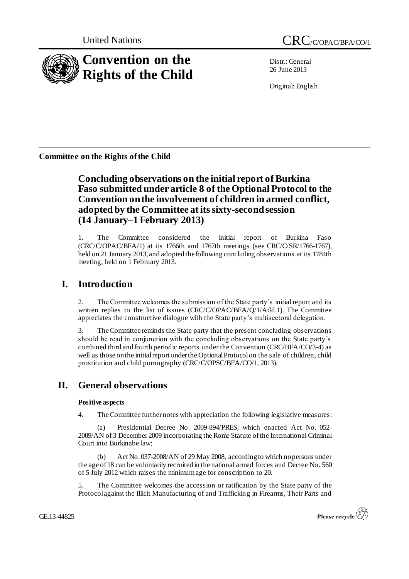

Distr.: General 26 June 2013

Original: English

**Committee on the Rights of the Child**

# **Concluding observations on the initial report of Burkina Faso submitted under article 8 of the Optional Protocol to the Convention on the involvement of children in armed conflict, adopted by the Committee at its sixty-second session (14 January–1 February 2013)**

1. The Committee considered the initial report of Burkina Faso (CRC/C/OPAC/BFA/1) at its 1766th and 1767th meetings (see CRC/C/SR/1766-1767), held on 21 January 2013, and adopted the following concluding observations at its 1784th meeting, held on 1 February 2013.

# **I. Introduction**

2. The Committee welcomes the submission of the State party's initial report and its written replies to the list of issues (CRC/C/OPAC/BFA/Q/1/Add.1). The Committee appreciates the constructive dialogue with the State party's multisectoral delegation.

3. The Committee reminds the State party that the present concluding observations should be read in conjunction with the concluding observations on the State party's combined third and fourth periodic reports under the Convention (CRC/BFA/CO/3-4) as well as those on the initial report under the Optional Protocol on the sale of children, child prostitution and child pornography (CRC/C/OPSC/BFA/CO/1, 2013).

# **II. General observations**

## **Positive aspects**

4. The Committee further notes with appreciation the following legislative measures:

(a) Presidential Decree No. 2009-894/PRES, which enacted Act No. 052- 2009/AN of 3 December 2009 incorporating the Rome Statute of the International Criminal Court into Burkinabe law;

(b) Act No. 037-2008/AN of 29 May 2008, according to which no persons under the age of 18 can be voluntarily recruited in the national armed forces and Decree No. 560 of 5 July 2012 which raises the minimum age for conscription to 20.

5. The Committee welcomes the accession or ratification by the State party of the Protocol against the Illicit Manufacturing of and Trafficking in Firearms, Their Parts and

GE.13-44825

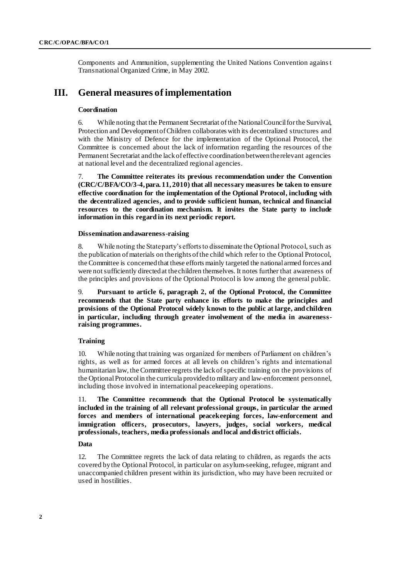Components and Ammunition, supplementing the United Nations Convention against Transnational Organized Crime, in May 2002.

# **III. General measures of implementation**

### **Coordination**

6. While noting that the Permanent Secretariat of the National Council for the Survival, Protection and Development of Children collaborates with its decentralized structures and with the Ministry of Defence for the implementation of the Optional Protocol, the Committee is concerned about the lack of information regarding the resources of the Permanent Secretariat and the lack of effective coordination between the relevant agencies at national level and the decentralized regional agencies.

7. **The Committee reiterates its previous recommendation under the Convention (CRC/C/BFA/CO/3-4, para. 11, 2010) that all necessary measures be taken to ensure effective coordination for the implementation of the Optional Protocol, including with the decentralized agencies, and to provide sufficient human, technical and financial resources to the coordination mechanism. It invites the State party to include information in this regard in its next periodic report.**

### **Dissemination and awareness-raising**

8. While noting the State party's efforts to disseminate the Optional Protocol, such as the publication of materials on the rights of the child which refer to the Optional Protocol, the Committee is concerned that these efforts mainly targeted the national armed forces and were not sufficiently directed at the children themselves. It notes further that awareness of the principles and provisions of the Optional Protocol is low among the general public.

9. **Pursuant to article 6, paragraph 2, of the Optional Protocol, the Committee recommends that the State party enhance its efforts to make the principles and provisions of the Optional Protocol widely known to the public at large, and children in particular, including through greater involvement of the media in awarenessraising programmes.**

#### **Training**

10. While noting that training was organized for members of Parliament on children's rights, as well as for armed forces at all levels on children's rights and international humanitarian law, the Committee regrets the lack of specific training on the provisions of the Optional Protocol in the curricula provided to military and law-enforcement personnel, including those involved in international peacekeeping operations.

11. **The Committee recommends that the Optional Protocol be systematically included in the training of all relevant professional groups, in particular the armed forces and members of international peacekeeping forces, law-enforcement and immigration officers, prosecutors, lawyers, judges, social workers, medical professionals, teachers, media professionals and local and district officials.**

#### **Data**

12. The Committee regrets the lack of data relating to children, as regards the acts covered by the Optional Protocol, in particular on asylum-seeking, refugee, migrant and unaccompanied children present within its jurisdiction, who may have been recruited or used in hostilities.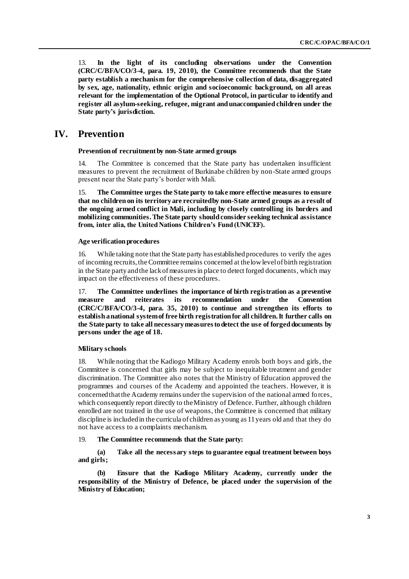13. **In the light of its concluding observations under the Convention (CRC/C/BFA/CO/3-4, para. 19, 2010), the Committee recommends that the State party establish a mechanism for the comprehensive collection of data, disaggregated by sex, age, nationality, ethnic origin and socioeconomic background, on all areas relevant for the implementation of the Optional Protocol, in particular to identify and register all asylum-seeking, refugee, migrant and unaccompanied children under the State party's jurisdiction.**

# **IV. Prevention**

#### **Prevention of recruitment by non-State armed groups**

14. The Committee is concerned that the State party has undertaken insufficient measures to prevent the recruitment of Burkinabe children by non-State armed groups present near the State party's border with Mali.

15. **The Committee urges the State party to take more effective measures to ensure that no children on its territory are recruited by non-State armed groups as a result of the ongoing armed conflict in Mali, including by closely controlling its borders and mobilizing communities. The State party should consider seeking technical assistance from, inter alia, the United Nations Children's Fund (UNICEF).**

#### **Age verification procedures**

16. While taking note that the State party has established procedures to verify the ages of incoming recruits, the Committee remains concerned at the low level of birth registration in the State party and the lack of measures in place to detect forged documents, which may impact on the effectiveness of these procedures.

17. **The Committee underlines the importance of birth registration as a preventive measure and reiterates its recommendation under the Convention (CRC/C/BFA/CO/3-4, para. 35, 2010) to continue and strengthen its efforts to establish a national system of free birth registration for all children. It further calls on the State party to take all necessary measures to detect the use of forged documents by persons under the age of 18.**

### **Military schools**

18. While noting that the Kadiogo Military Academy enrols both boys and girls, the Committee is concerned that girls may be subject to inequitable treatment and gender discrimination. The Committee also notes that the Ministry of Education approved the programmes and courses of the Academy and appointed the teachers. However, it is concerned that the Academy remains under the supervision of the national armed forces, which consequently report directly to the Ministry of Defence. Further, although children enrolled are not trained in the use of weapons, the Committee is concerned that military discipline is included in the curricula of children as young as 11 years old and that they do not have access to a complaints mechanism.

### 19. **The Committee recommends that the State party:**

**(a) Take all the necessary steps to guarantee equal treatment between boys and girls;**

**(b) Ensure that the Kadiogo Military Academy, currently under the responsibility of the Ministry of Defence, be placed under the supervision of the Ministry of Education;**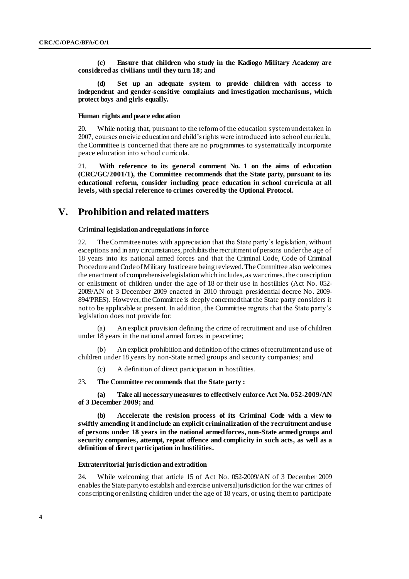**(c) Ensure that children who study in the Kadiogo Military Academy are considered as civilians until they turn 18; and**

**(d) Set up an adequate system to provide children with access to independent and gender-sensitive complaints and investigation mechanisms, which protect boys and girls equally.**

#### **Human rights and peace education**

20. While noting that, pursuant to the reform of the education system undertaken in 2007, courses on civic education and child's rights were introduced into school curricula, the Committee is concerned that there are no programmes to systematically incorporate peace education into school curricula.

21. **With reference to its general comment No. 1 on the aims of education (CRC/GC/2001/1), the Committee recommends that the State party, pursuant to its educational reform, consider including peace education in school curricula at all levels, with special reference to crimes covered by the Optional Protocol.** 

# **V. Prohibition and related matters**

### **Criminal legislation and regulations in force**

22. The Committee notes with appreciation that the State party's legislation, without exceptions and in any circumstances, prohibits the recruitment of persons under the age of 18 years into its national armed forces and that the Criminal Code, Code of Criminal Procedure and Code of Military Justice are being reviewed. The Committee also welcomes the enactment of comprehensive legislation which includes, as war crimes, the conscription or enlistment of children under the age of 18 or their use in hostilities (Act No . 052- 2009/AN of 3 December 2009 enacted in 2010 through presidential decree No. 2009- 894/PRES). However, the Committee is deeply concerned that the State party considers it not to be applicable at present. In addition, the Committee regrets that the State party's legislation does not provide for:

(a) An explicit provision defining the crime of recruitment and use of children under 18 years in the national armed forces in peacetime;

(b) An explicit prohibition and definition of the crimes of recruitment and use of children under 18 years by non-State armed groups and security companies; and

(c) A definition of direct participation in hostilities.

### 23. **The Committee recommends that the State party :**

**(a) Take all necessary measures to effectively enforce Act No. 052-2009/AN of 3 December 2009; and**

**(b) Accelerate the revision process of its Criminal Code with a view to swiftly amending it and include an explicit criminalization of the recruitment and use of persons under 18 years in the national armed forces, non-State armed groups and security companies, attempt, repeat offence and complicity in such acts, as well as a definition of direct participation in hostilities.**

#### **Extraterritorial jurisdiction and extradition**

24. While welcoming that article 15 of Act No. 052-2009/AN of 3 December 2009 enables the State party to establish and exercise universal jurisdiction for the war crimes of conscripting or enlisting children under the age of 18 years, or using them to participate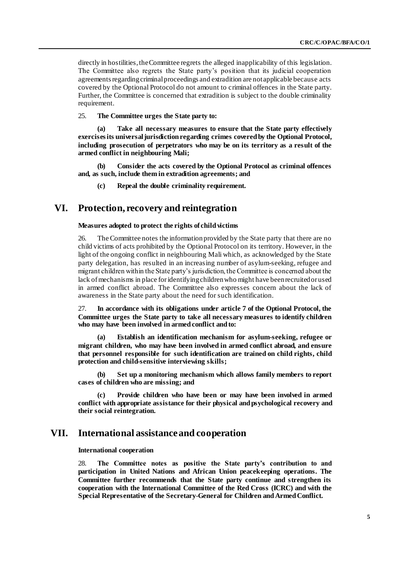directly in hostilities, the Committee regrets the alleged inapplicability of this legislation. The Committee also regrets the State party's position that its judicial cooperation agreements regarding criminal proceedings and extradition are not applicable because acts covered by the Optional Protocol do not amount to criminal offences in the State party. Further, the Committee is concerned that extradition is subject to the double criminality requirement.

### 25. **The Committee urges the State party to:**

**(a) Take all necessary measures to ensure that the State party effectively exercisesits universal jurisdiction regarding crimes covered by the Optional Protocol, including prosecution of perpetrators who may be on its territory as a result of the armed conflict in neighbouring Mali;**

**(b) Consider the acts covered by the Optional Protocol as criminal offences and, as such, include them in extradition agreements; and**

**(c) Repeal the double criminality requirement.**

## **VI. Protection, recovery and reintegration**

### **Measures adopted to protect the rights of child victims**

26. The Committee notes the information provided by the State party that there are no child victims of acts prohibited by the Optional Protocol on its territory. However, in the light of the ongoing conflict in neighbouring Mali which, as acknowledged by the State party delegation, has resulted in an increasing number of asylum-seeking, refugee and migrant children within the State party's jurisdiction, the Committee is concerned about the lack of mechanisms in place for identifying children who might have been recruited or used in armed conflict abroad. The Committee also expresses concern about the lack of awareness in the State party about the need for such identification.

27. **In accordance with its obligations under article 7 of the Optional Protocol, the Committee urges the State party to take all necessary measures to identify children who may have been involved in armed conflict and to:**

**(a) Establish an identification mechanism for asylum-seeking, refugee or migrant children, who may have been involved in armed conflict abroad, and ensure that personnel responsible for such identification are trained on child rights, child protection and child-sensitive interviewing skills;**

**(b) Set up a monitoring mechanism which allows family members to report cases of children who are missing; and** 

**(c) Provide children who have been or may have been involved in armed conflict with appropriate assistance for their physical and psychological recovery and their social reintegration.**

# **VII. International assistance and cooperation**

**International cooperation** 

28. **The Committee notes as positive the State party's contribution to and participation in United Nations and African Union peacekeeping operations. The Committee further recommends that the State party continue and strengthen its cooperation with the International Committee of the Red Cross (ICRC) and with the Special Representative of the Secretary-General for Children and Armed Conflict.**